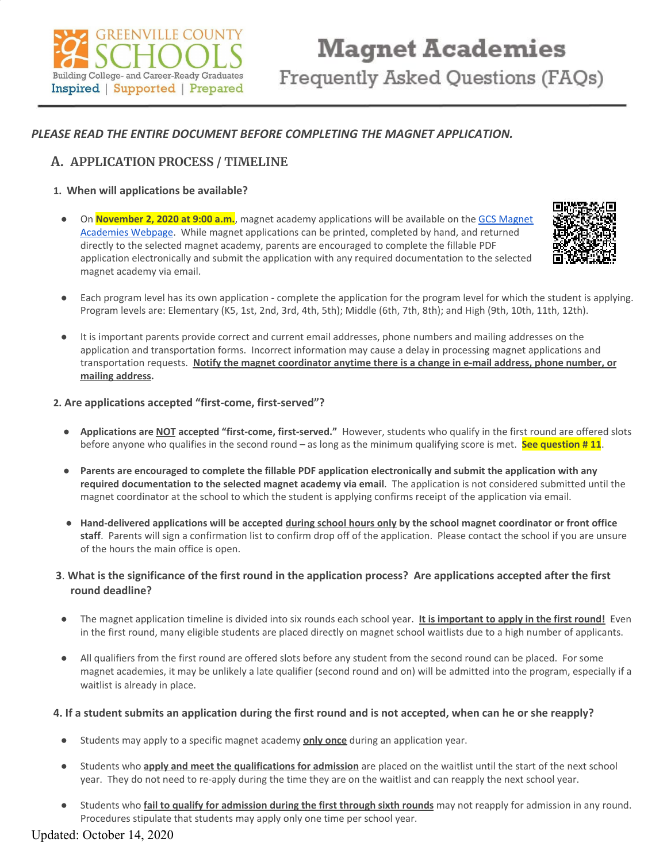

## *PLEASE READ THE ENTIRE DOCUMENT BEFORE COMPLETING THE MAGNET APPLICATION.*

## **A. APPLICATION PROCESS / TIMELINE**

#### **1. When will applications be available?**

● On **November 2, 2020 at 9:00 a.m.**, magnet academy applications will be available on the GCS [Magnet](https://www.greenville.k12.sc.us/Parents/main.asp?titleid=magnet) [Academies](https://www.greenville.k12.sc.us/Parents/main.asp?titleid=magnet) Webpage. While magnet applications can be printed, completed by hand, and returned directly to the selected magnet academy, parents are encouraged to complete the fillable PDF application electronically and submit the application with any required documentation to the selected magnet academy via email.



- Each program level has its own application complete the application for the program level for which the student is applying. Program levels are: Elementary (K5, 1st, 2nd, 3rd, 4th, 5th); Middle (6th, 7th, 8th); and High (9th, 10th, 11th, 12th).
- It is important parents provide correct and current email addresses, phone numbers and mailing addresses on the application and transportation forms. Incorrect information may cause a delay in processing magnet applications and transportation requests. **Notify the magnet coordinator anytime there is a change in e-mail address, phone number, or mailing address.**

#### **2. Are applications accepted "first-come, first-served"?**

- **Applications are NOT accepted "first-come, first-served."** However, students who qualify in the first round are offered slots before anyone who qualifies in the second round – as long as the minimum qualifying score is met. **See question # 11**.
- Parents are encouraged to complete the fillable PDF application electronically and submit the application with any **required documentation to the selected magnet academy via email**. The application is not considered submitted until the magnet coordinator at the school to which the student is applying confirms receipt of the application via email.
- Hand-delivered applications will be accepted during school hours only by the school magnet coordinator or front office **staff**. Parents will sign a confirmation list to confirm drop off of the application. Please contact the school if you are unsure of the hours the main office is open.

## 3. What is the significance of the first round in the application process? Are applications accepted after the first **round deadline?**

- **●** The magnet application timeline is divided into six rounds each school year. **It is important to apply in the first round!** Even in the first round, many eligible students are placed directly on magnet school waitlists due to a high number of applicants.
- All qualifiers from the first round are offered slots before any student from the second round can be placed. For some magnet academies, it may be unlikely a late qualifier (second round and on) will be admitted into the program, especially if a waitlist is already in place.

## 4. If a student submits an application during the first round and is not accepted, when can he or she reapply?

- Students may apply to a specific magnet academy **only once** during an application year.
- Students who **apply and meet the qualifications for admission** are placed on the waitlist until the start of the next school year. They do not need to re-apply during the time they are on the waitlist and can reapply the next school year.
- Students who **fail to qualify for admission during the first through sixth rounds** may not reapply for admission in any round. Procedures stipulate that students may apply only one time per school year.

Updated: October 14, 2020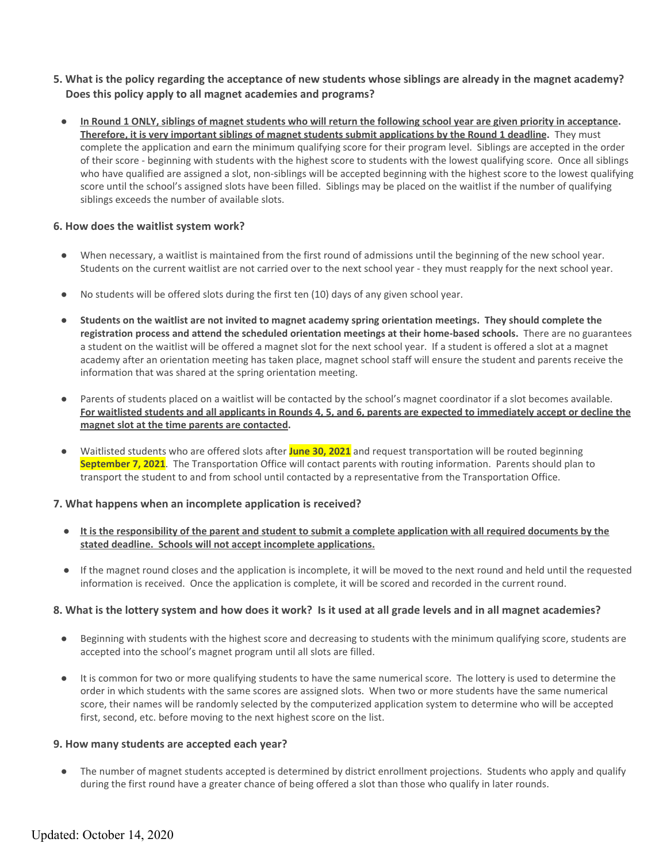- 5. What is the policy regarding the acceptance of new students whose siblings are already in the magnet academy? **Does this policy apply to all magnet academies and programs?**
	- In Round 1 ONLY, siblings of magnet students who will return the following school year are given priority in acceptance. Therefore, it is very important siblings of magnet students submit applications by the Round 1 deadline. They must complete the application and earn the minimum qualifying score for their program level. Siblings are accepted in the order of their score - beginning with students with the highest score to students with the lowest qualifying score. Once all siblings who have qualified are assigned a slot, non-siblings will be accepted beginning with the highest score to the lowest qualifying score until the school's assigned slots have been filled. Siblings may be placed on the waitlist if the number of qualifying siblings exceeds the number of available slots.

#### **6. How does the waitlist system work?**

- When necessary, a waitlist is maintained from the first round of admissions until the beginning of the new school year. Students on the current waitlist are not carried over to the next school year - they must reapply for the next school year.
- No students will be offered slots during the first ten (10) days of any given school year.
- Students on the waitlist are not invited to magnet academy spring orientation meetings. They should complete the **registration process and attend the scheduled orientation meetings at their home-based schools.** There are no guarantees a student on the waitlist will be offered a magnet slot for the next school year. If a student is offered a slot at a magnet academy after an orientation meeting has taken place, magnet school staff will ensure the student and parents receive the information that was shared at the spring orientation meeting.
- Parents of students placed on a waitlist will be contacted by the school's magnet coordinator if a slot becomes available. For waitlisted students and all applicants in Rounds 4, 5, and 6, parents are expected to immediately accept or decline the **magnet slot at the time parents are contacted.**
- Waitlisted students who are offered slots after **June 30, 2021** and request transportation will be routed beginning **September 7, 2021**. The Transportation Office will contact parents with routing information. Parents should plan to transport the student to and from school until contacted by a representative from the Transportation Office.

#### **7. What happens when an incomplete application is received?**

- It is the responsibility of the parent and student to submit a complete application with all required documents by the **stated deadline. Schools will not accept incomplete applications.**
- If the magnet round closes and the application is incomplete, it will be moved to the next round and held until the requested information is received. Once the application is complete, it will be scored and recorded in the current round.

## 8. What is the lottery system and how does it work? Is it used at all grade levels and in all magnet academies?

- Beginning with students with the highest score and decreasing to students with the minimum qualifying score, students are accepted into the school's magnet program until all slots are filled.
- It is common for two or more qualifying students to have the same numerical score. The lottery is used to determine the order in which students with the same scores are assigned slots. When two or more students have the same numerical score, their names will be randomly selected by the computerized application system to determine who will be accepted first, second, etc. before moving to the next highest score on the list.

#### **9. How many students are accepted each year?**

The number of magnet students accepted is determined by district enrollment projections. Students who apply and qualify during the first round have a greater chance of being offered a slot than those who qualify in later rounds.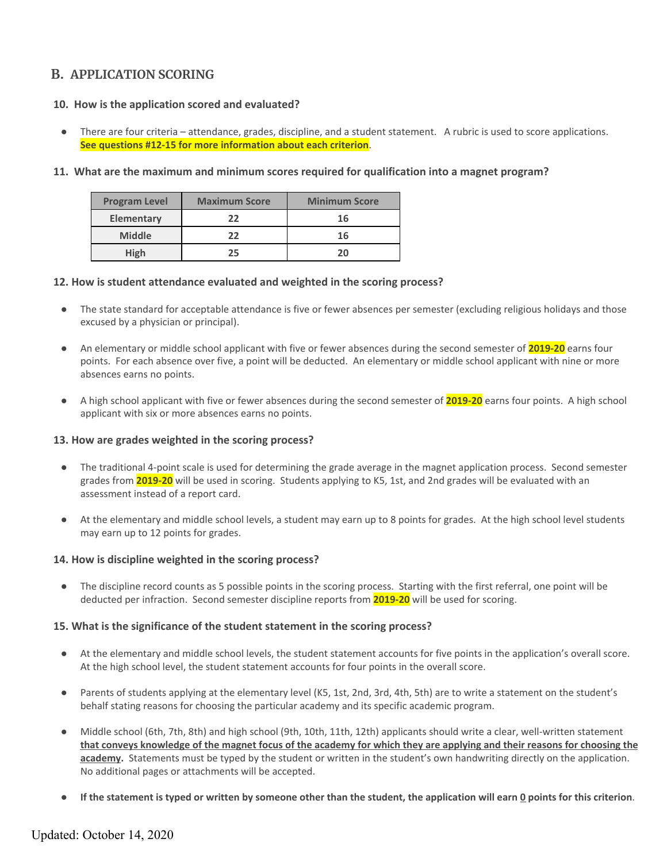# **B. APPLICATION SCORING**

## **10. How is the application scored and evaluated?**

There are four criteria – attendance, grades, discipline, and a student statement. A rubric is used to score applications. **See questions #12-15 for more information about each criterion**.

#### **11. What are the maximum and minimum scores required for qualification into a magnet program?**

| <b>Program Level</b> | <b>Maximum Score</b> | <b>Minimum Score</b> |
|----------------------|----------------------|----------------------|
| <b>Elementary</b>    | 22                   | 16                   |
| <b>Middle</b>        | 22                   | 16                   |
| High                 | 25                   | 20                   |

#### **12. How is student attendance evaluated and weighted in the scoring process?**

- The state standard for acceptable attendance is five or fewer absences per semester (excluding religious holidays and those excused by a physician or principal).
- An elementary or middle school applicant with five or fewer absences during the second semester of **2019-20** earns four points. For each absence over five, a point will be deducted. An elementary or middle school applicant with nine or more absences earns no points.
- A high school applicant with five or fewer absences during the second semester of **2019-20** earns four points. A high school applicant with six or more absences earns no points.

#### **13. How are grades weighted in the scoring process?**

- The traditional 4-point scale is used for determining the grade average in the magnet application process. Second semester grades from **2019-20** will be used in scoring. Students applying to K5, 1st, and 2nd grades will be evaluated with an assessment instead of a report card.
- At the elementary and middle school levels, a student may earn up to 8 points for grades. At the high school level students may earn up to 12 points for grades.

#### **14. How is discipline weighted in the scoring process?**

The discipline record counts as 5 possible points in the scoring process. Starting with the first referral, one point will be deducted per infraction. Second semester discipline reports from **2019-20** will be used for scoring.

#### **15. What is the significance of the student statement in the scoring process?**

- At the elementary and middle school levels, the student statement accounts for five points in the application's overall score. At the high school level, the student statement accounts for four points in the overall score.
- Parents of students applying at the elementary level (K5, 1st, 2nd, 3rd, 4th, 5th) are to write a statement on the student's behalf stating reasons for choosing the particular academy and its specific academic program.
- Middle school (6th, 7th, 8th) and high school (9th, 10th, 11th, 12th) applicants should write a clear, well-written statement that conveys knowledge of the magnet focus of the academy for which they are applying and their reasons for choosing the **academy.** Statements must be typed by the student or written in the student's own handwriting directly on the application. No additional pages or attachments will be accepted.
- If the statement is typed or written by someone other than the student, the application will earn 0 points for this criterion.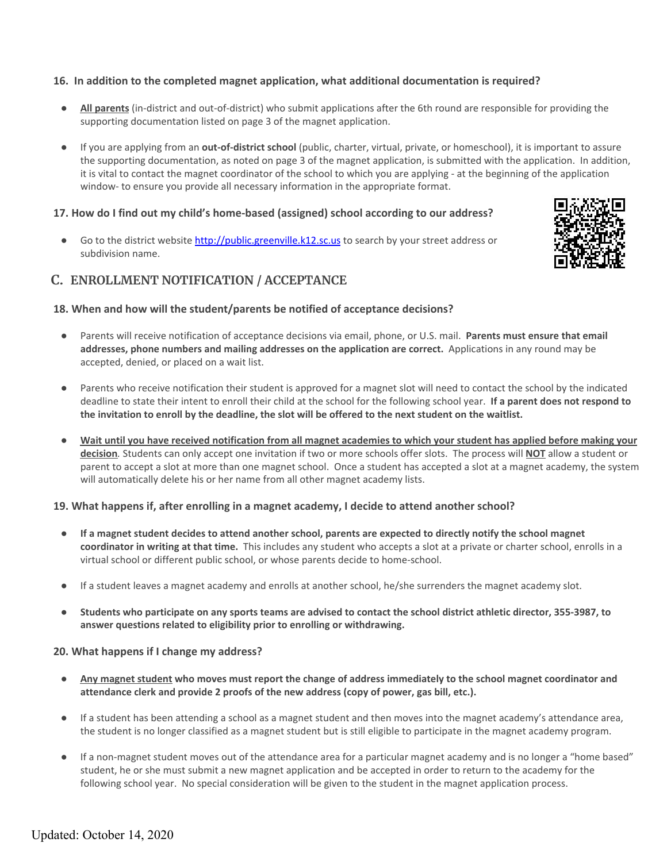## **16. In addition to the completed magnet application, what additional documentation is required?**

- All parents (in-district and out-of-district) who submit applications after the 6th round are responsible for providing the supporting documentation listed on page 3 of the magnet application.
- If you are applying from an **out-of-district school** (public, charter, virtual, private, or homeschool), it is important to assure the supporting documentation, as noted on page 3 of the magnet application, is submitted with the application. In addition, it is vital to contact the magnet coordinator of the school to which you are applying - at the beginning of the application window- to ensure you provide all necessary information in the appropriate format.

## **17. How do I find out my child's home-based (assigned) school according to our address?**

Go to the district website [http://public.greenville.k12.sc.us](http://public.greenville.k12.sc.us/) to search by your street address or subdivision name.



## **C. ENROLLMENT NOTIFICATION / ACCEPTANCE**

## **18. When and how will the student/parents be notified of acceptance decisions?**

- Parents will receive notification of acceptance decisions via email, phone, or U.S. mail. **Parents must ensure that email addresses, phone numbers and mailing addresses on the application are correct.** Applications in any round may be accepted, denied, or placed on a wait list.
- Parents who receive notification their student is approved for a magnet slot will need to contact the school by the indicated deadline to state their intent to enroll their child at the school for the following school year. **If a parent does not respond to** the invitation to enroll by the deadline, the slot will be offered to the next student on the waitlist.
- Wait until you have received notification from all magnet academies to which your student has applied before making your **decision***.* Students can only accept one invitation if two or more schools offer slots. The process will **NOT** allow a student or parent to accept a slot at more than one magnet school. Once a student has accepted a slot at a magnet academy, the system will automatically delete his or her name from all other magnet academy lists.

## **19. What happens if, after enrolling in a magnet academy, I decide to attend another school?**

- If a magnet student decides to attend another school, parents are expected to directly notify the school magnet **coordinator in writing at that time.** This includes any student who accepts a slot at a private or charter school, enrolls in a virtual school or different public school, or whose parents decide to home-school.
- If a student leaves a magnet academy and enrolls at another school, he/she surrenders the magnet academy slot.
- Students who participate on any sports teams are advised to contact the school district athletic director, 355-3987, to **answer questions related to eligibility prior to enrolling or withdrawing.**

## **20. What happens if I change my address?**

- Any magnet student who moves must report the change of address immediately to the school magnet coordinator and **attendance clerk and provide 2 proofs of the new address (copy of power, gas bill, etc.).**
- If a student has been attending a school as a magnet student and then moves into the magnet academy's attendance area, the student is no longer classified as a magnet student but is still eligible to participate in the magnet academy program.
- If a non-magnet student moves out of the attendance area for a particular magnet academy and is no longer a "home based" student, he or she must submit a new magnet application and be accepted in order to return to the academy for the following school year. No special consideration will be given to the student in the magnet application process.